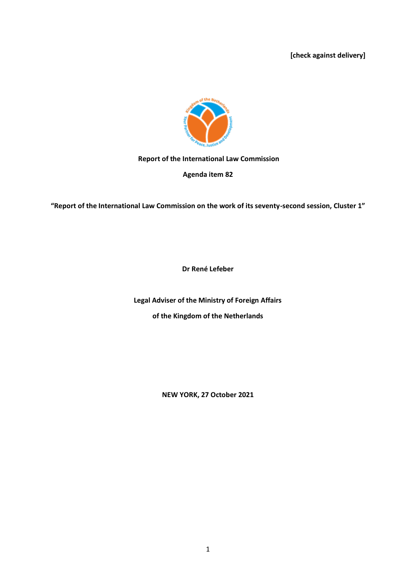**[check against delivery]**



# **Report of the International Law Commission**

**Agenda item 82**

**"Report of the International Law Commission on the work of its seventy-second session, Cluster 1"**

**Dr René Lefeber**

**Legal Adviser of the Ministry of Foreign Affairs of the Kingdom of the Netherlands**

**NEW YORK, 27 October 2021**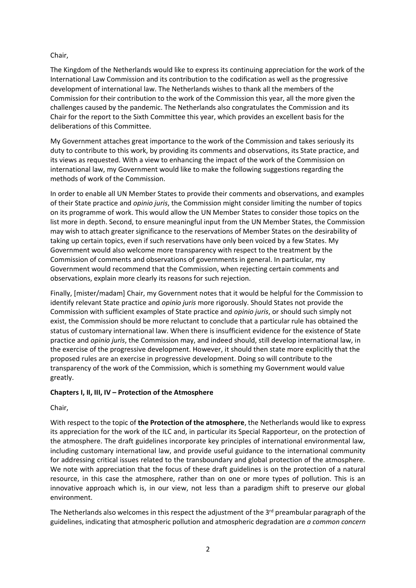# Chair,

The Kingdom of the Netherlands would like to express its continuing appreciation for the work of the International Law Commission and its contribution to the codification as well as the progressive development of international law. The Netherlands wishes to thank all the members of the Commission for their contribution to the work of the Commission this year, all the more given the challenges caused by the pandemic. The Netherlands also congratulates the Commission and its Chair for the report to the Sixth Committee this year, which provides an excellent basis for the deliberations of this Committee.

My Government attaches great importance to the work of the Commission and takes seriously its duty to contribute to this work, by providing its comments and observations, its State practice, and its views as requested. With a view to enhancing the impact of the work of the Commission on international law, my Government would like to make the following suggestions regarding the methods of work of the Commission.

In order to enable all UN Member States to provide their comments and observations, and examples of their State practice and *opinio juris*, the Commission might consider limiting the number of topics on its programme of work. This would allow the UN Member States to consider those topics on the list more in depth. Second, to ensure meaningful input from the UN Member States, the Commission may wish to attach greater significance to the reservations of Member States on the desirability of taking up certain topics, even if such reservations have only been voiced by a few States. My Government would also welcome more transparency with respect to the treatment by the Commission of comments and observations of governments in general. In particular, my Government would recommend that the Commission, when rejecting certain comments and observations, explain more clearly its reasons for such rejection.

Finally, [mister/madam] Chair, my Government notes that it would be helpful for the Commission to identify relevant State practice and *opinio juris* more rigorously. Should States not provide the Commission with sufficient examples of State practice and *opinio juris*, or should such simply not exist, the Commission should be more reluctant to conclude that a particular rule has obtained the status of customary international law. When there is insufficient evidence for the existence of State practice and *opinio juris*, the Commission may, and indeed should, still develop international law, in the exercise of the progressive development. However, it should then state more explicitly that the proposed rules are an exercise in progressive development. Doing so will contribute to the transparency of the work of the Commission, which is something my Government would value greatly.

# **Chapters I, II, III, IV – Protection of the Atmosphere**

Chair,

With respect to the topic of **the Protection of the atmosphere**, the Netherlands would like to express its appreciation for the work of the ILC and, in particular its Special Rapporteur, on the protection of the atmosphere. The draft guidelines incorporate key principles of international environmental law, including customary international law, and provide useful guidance to the international community for addressing critical issues related to the transboundary and global protection of the atmosphere. We note with appreciation that the focus of these draft guidelines is on the protection of a natural resource, in this case the atmosphere, rather than on one or more types of pollution. This is an innovative approach which is, in our view, not less than a paradigm shift to preserve our global environment.

The Netherlands also welcomes in this respect the adjustment of the  $3<sup>rd</sup>$  preambular paragraph of the guidelines, indicating that atmospheric pollution and atmospheric degradation are *a common concern*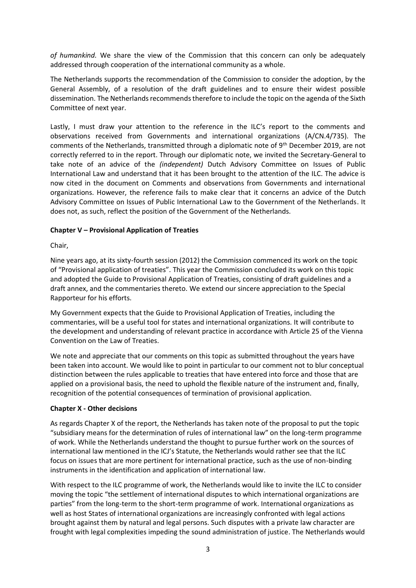*of humankind.* We share the view of the Commission that this concern can only be adequately addressed through cooperation of the international community as a whole.

The Netherlands supports the recommendation of the Commission to consider the adoption, by the General Assembly, of a resolution of the draft guidelines and to ensure their widest possible dissemination. The Netherlands recommends therefore to include the topic on the agenda of the Sixth Committee of next year.

Lastly, I must draw your attention to the reference in the ILC's report to the comments and observations received from Governments and international organizations (A/CN.4/735). The comments of the Netherlands, transmitted through a diplomatic note of 9<sup>th</sup> December 2019, are not correctly referred to in the report. Through our diplomatic note, we invited the Secretary-General to take note of an advice of the *(independent)* Dutch Advisory Committee on Issues of Public International Law and understand that it has been brought to the attention of the ILC. The advice is now cited in the document on Comments and observations from Governments and international organizations. However, the reference fails to make clear that it concerns an advice of the Dutch Advisory Committee on Issues of Public International Law to the Government of the Netherlands. It does not, as such, reflect the position of the Government of the Netherlands.

### **Chapter V – Provisional Application of Treaties**

Chair,

Nine years ago, at its sixty-fourth session (2012) the Commission commenced its work on the topic of "Provisional application of treaties". This year the Commission concluded its work on this topic and adopted the Guide to Provisional Application of Treaties, consisting of draft guidelines and a draft annex, and the commentaries thereto. We extend our sincere appreciation to the Special Rapporteur for his efforts.

My Government expects that the Guide to Provisional Application of Treaties, including the commentaries, will be a useful tool for states and international organizations. It will contribute to the development and understanding of relevant practice in accordance with Article 25 of the Vienna Convention on the Law of Treaties.

We note and appreciate that our comments on this topic as submitted throughout the years have been taken into account. We would like to point in particular to our comment not to blur conceptual distinction between the rules applicable to treaties that have entered into force and those that are applied on a provisional basis, the need to uphold the flexible nature of the instrument and, finally, recognition of the potential consequences of termination of provisional application.

#### **Chapter X - Other decisions**

As regards Chapter X of the report, the Netherlands has taken note of the proposal to put the topic "subsidiary means for the determination of rules of international law" on the long-term programme of work. While the Netherlands understand the thought to pursue further work on the sources of international law mentioned in the ICJ's Statute, the Netherlands would rather see that the ILC focus on issues that are more pertinent for international practice, such as the use of non-binding instruments in the identification and application of international law.

With respect to the ILC programme of work, the Netherlands would like to invite the ILC to consider moving the topic "the settlement of international disputes to which international organizations are parties" from the long-term to the short-term programme of work. International organizations as well as host States of international organizations are increasingly confronted with legal actions brought against them by natural and legal persons. Such disputes with a private law character are frought with legal complexities impeding the sound administration of justice. The Netherlands would